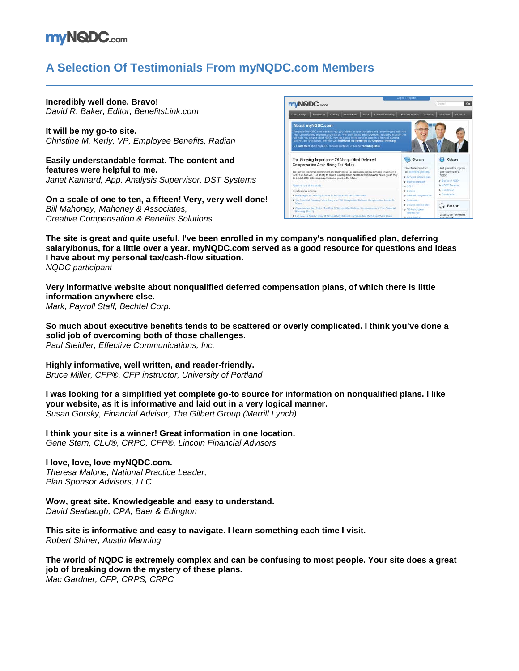# **mvNQDC**.com

## **A Selection Of Testimonials From myNQDC.com Members**

**Incredibly well done. Bravo!** *David R. Baker, Editor, BenefitsLink.com*

**It will be my go-to site.** *Christine M. Kerly, VP, Employee Benefits, Radian*

**Easily understandable format. The content and features were helpful to me.** *Janet Kannard, App. Analysis Supervisor, DST Systems*

**On a scale of one to ten, a fifteen! Very, very well done!** *Bill Mahoney, Mahoney & Associates, Creative Compensation & Benefits Solutions*



**The site is great and quite useful. I've been enrolled in my company's nonqualified plan, deferring salary/bonus, for a little over a year. myNQDC.com served as a good resource for questions and ideas I have about my personal tax/cash-flow situation.** *NQDC participant*

**Very informative website about nonqualified deferred compensation plans, of which there is little information anywhere else.** *Mark, Payroll Staff, Bechtel Corp.*

**So much about executive benefits tends to be scattered or overly complicated. I think you've done a solid job of overcoming both of those challenges.** *Paul Steidler, Effective Communications, Inc.*

**Highly informative, well written, and reader-friendly.** *Bruce Miller, CFP®, CFP instructor, University of Portland*

**I was looking for a simplified yet complete go-to source for information on nonqualified plans. I like your website, as it is informative and laid out in a very logical manner.** *Susan Gorsky, Financial Advisor, The Gilbert Group (Merrill Lynch)*

**I think your site is a winner! Great information in one location.** *Gene Stern, CLU®, CRPC, CFP®, Lincoln Financial Advisors*

**I love, love, love myNQDC.com.** *Theresa Malone, National Practice Leader, Plan Sponsor Advisors, LLC*

**Wow, great site. Knowledgeable and easy to understand.**

*David Seabaugh, CPA, Baer & Edington*

**This site is informative and easy to navigate. I learn something each time I visit.** *Robert Shiner, Austin Manning*

**The world of NQDC is extremely complex and can be confusing to most people. Your site does a great job of breaking down the mystery of these plans.** *Mac Gardner, CFP, CRPS, CRPC*